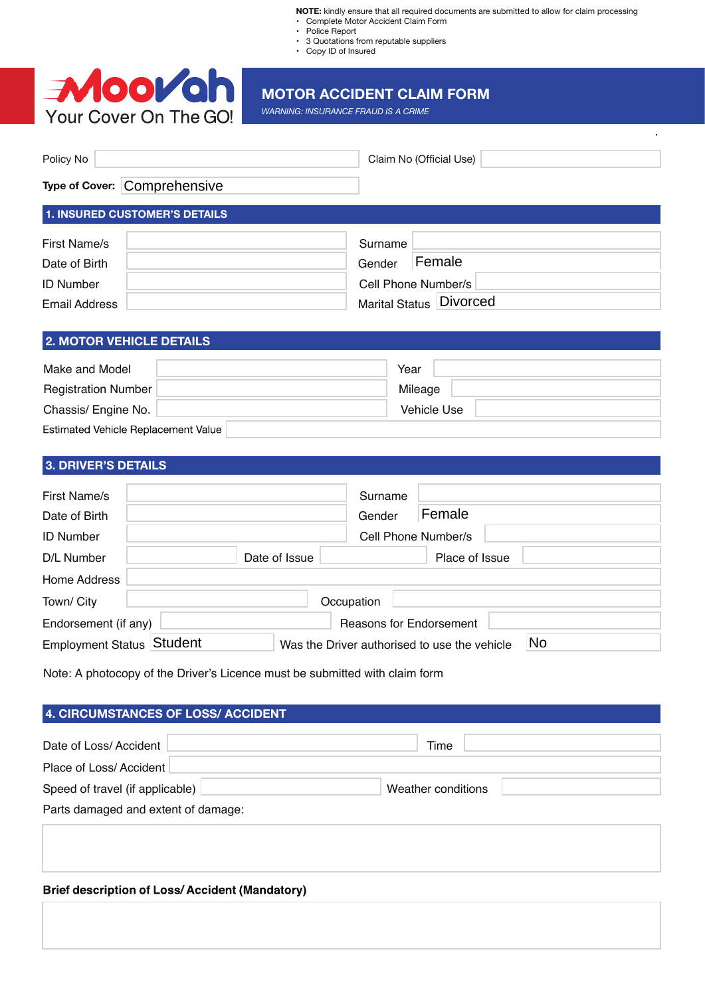**NOTE:** kindly ensure that all required documents are submitted to allow for claim processing Complete Motor Accident Claim Form

- Police Report
- 3 Quotations from reputable suppliers
- Copy ID of Insured



# **MOTOR ACCIDENT CLAIM FORM**

*WARNING: INSURANCE FRAUD IS A CRIME*

| Policy No                    | Claim No (Official Use) |
|------------------------------|-------------------------|
| Type of Cover: Comprehensive |                         |

# **1. INSURED CUSTOMER'S DETAILS**

| First Name/s     | Surname                 |
|------------------|-------------------------|
| Date of Birth    | Female<br>Gender        |
| <b>ID Number</b> | Cell Phone Number/s     |
| Email Address    | Marital Status Divorced |

### **2. MOTOR VEHICLE DETAILS**

| Make and Model                      | Year        |
|-------------------------------------|-------------|
| Registration Number                 | Mileage     |
| Chassis/ Engine No.                 | Vehicle Use |
| Estimated Vehicle Replacement Value |             |

## **3. DRIVER'S DETAILS**

| First Name/s              | Surname                                      |                     |
|---------------------------|----------------------------------------------|---------------------|
| Date of Birth             | Gender                                       | Female              |
| <b>ID Number</b>          |                                              | Cell Phone Number/s |
| D/L Number                | Date of Issue                                | Place of Issue      |
| Home Address              |                                              |                     |
| Town/ City                | Occupation                                   |                     |
| Endorsement (if any)      | <b>Reasons for Endorsement</b>               |                     |
| Employment Status Student | Was the Driver authorised to use the vehicle | No                  |

Note: A photocopy of the Driver's Licence must be submitted with claim form

| 4. CIRCUMSTANCES OF LOSS/ ACCIDENT               |                    |  |  |  |  |
|--------------------------------------------------|--------------------|--|--|--|--|
| Date of Loss/Accident<br>Place of Loss/ Accident | Time               |  |  |  |  |
| Speed of travel (if applicable)                  | Weather conditions |  |  |  |  |
| Parts damaged and extent of damage:              |                    |  |  |  |  |

## **Brief description of Loss/Accident (Mandatory)**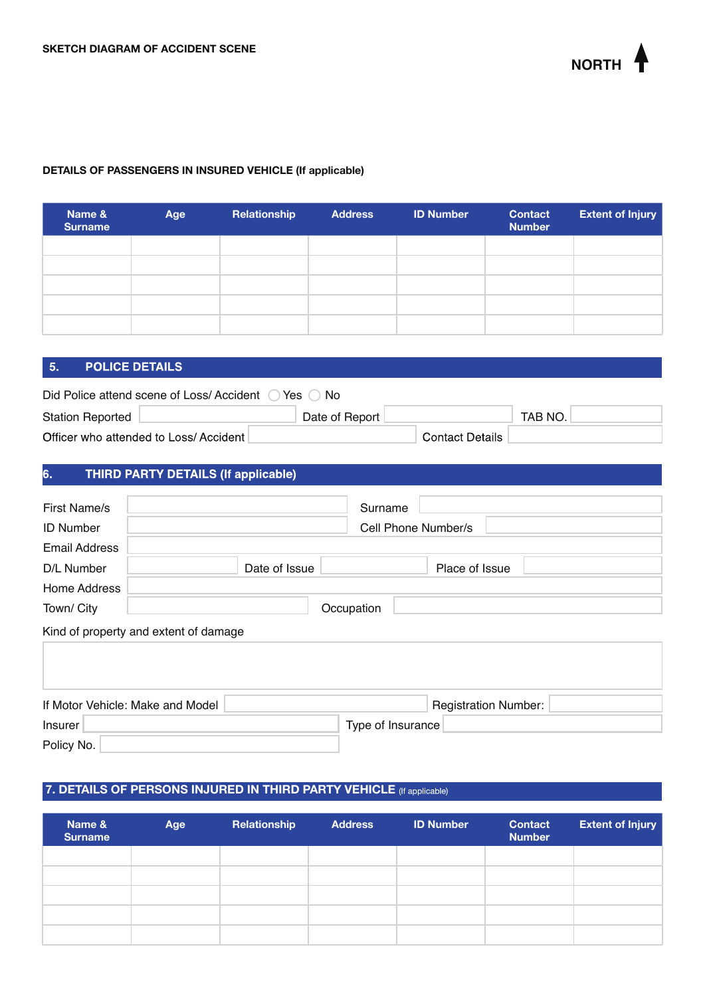

### **DETAILS OF PASSENGERS IN INSURED VEHICLE (If applicable)**

| Name &<br><b>Surname</b> | Age | Relationship | <b>Address</b> | <b>ID Number</b> | <b>Contact</b><br><b>Number</b> | <b>Extent of Injury</b> |
|--------------------------|-----|--------------|----------------|------------------|---------------------------------|-------------------------|
|                          |     |              |                |                  |                                 |                         |
|                          |     |              |                |                  |                                 |                         |
|                          |     |              |                |                  |                                 |                         |
|                          |     |              |                |                  |                                 |                         |
|                          |     |              |                |                  |                                 |                         |

#### **POLICE DETAILS**  $5.$

Policy No.

| Did Police attend scene of Loss/ Accident<br>Yes<br>⊢No |                |                        |         |  |  |
|---------------------------------------------------------|----------------|------------------------|---------|--|--|
| <b>Station Reported</b>                                 | Date of Report |                        | TAB NO. |  |  |
| Officer who attended to Loss/Accident                   |                | <b>Contact Details</b> |         |  |  |

#### THIRD PARTY DETAILS (If applicable) 6.

| First Name/s         | Surname                                                         |  |  |
|----------------------|-----------------------------------------------------------------|--|--|
| <b>ID Number</b>     | Cell Phone Number/s                                             |  |  |
| <b>Email Address</b> |                                                                 |  |  |
| D/L Number           | Date of Issue<br>Place of Issue                                 |  |  |
| Home Address         |                                                                 |  |  |
| Town/ City           | Occupation                                                      |  |  |
|                      | Kind of property and extent of damage                           |  |  |
|                      |                                                                 |  |  |
|                      |                                                                 |  |  |
|                      | If Motor Vehicle: Make and Model<br><b>Registration Number:</b> |  |  |

# **7. DETAILS OF PERSONS INJURED IN THIRD PARTY VEHICLE**

Insurer Type of Insurance

| Name &<br><b>Surname</b> | Age | Relationship | <b>Address</b> | <b>ID Number</b> | <b>Contact</b><br><b>Number</b> | <b>Extent of Injury</b> |
|--------------------------|-----|--------------|----------------|------------------|---------------------------------|-------------------------|
|                          |     |              |                |                  |                                 |                         |
|                          |     |              |                |                  |                                 |                         |
|                          |     |              |                |                  |                                 |                         |
|                          |     |              |                |                  |                                 |                         |
|                          |     |              |                |                  |                                 |                         |